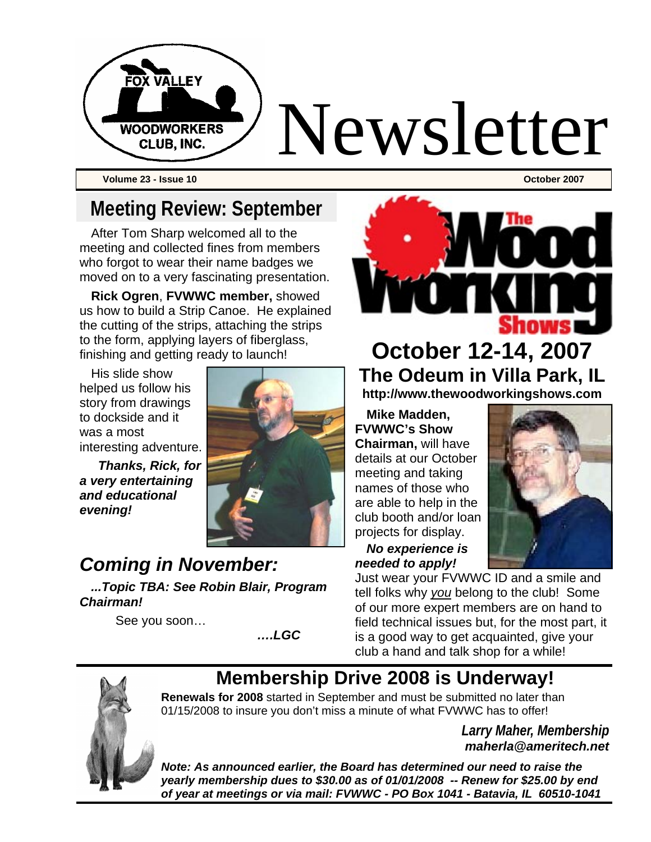

**Volume 23 - Issue 10 October 2007** 

# **Meeting Review: September**

After Tom Sharp welcomed all to the meeting and collected fines from members who forgot to wear their name badges we moved on to a very fascinating presentation.

**Rick Ogren**, **FVWWC member,** showed us how to build a Strip Canoe. He explained the cutting of the strips, attaching the strips to the form, applying layers of fiberglass, finishing and getting ready to launch!

His slide show helped us follow his story from drawings to dockside and it was a most interesting adventure.

 *Thanks, Rick, for a very entertaining and educational evening!* 



### *Coming in November:*

*...Topic TBA: See Robin Blair, Program Chairman!* 

See you soon…

*….LGC* 



**October 12-14, 2007 The Odeum in Villa Park, IL http://www.thewoodworkingshows.com** 

**Mike Madden, FVWWC's Show Chairman,** will have details at our October meeting and taking names of those who are able to help in the club booth and/or loan projects for display.

*No experience is needed to apply!* 

Just wear your FVWWC ID and a smile and tell folks why *you* belong to the club! Some of our more expert members are on hand to field technical issues but, for the most part, it is a good way to get acquainted, give your club a hand and talk shop for a while!



# **Membership Drive 2008 is Underway!**

**Renewals for 2008** started in September and must be submitted no later than 01/15/2008 to insure you don't miss a minute of what FVWWC has to offer!

> *Larry Maher, Membership maherla@ameritech.net*

*Note: As announced earlier, the Board has determined our need to raise the yearly membership dues to \$30.00 as of 01/01/2008 -- Renew for \$25.00 by end of year at meetings or via mail: FVWWC - PO Box 1041 - Batavia, IL 60510-1041*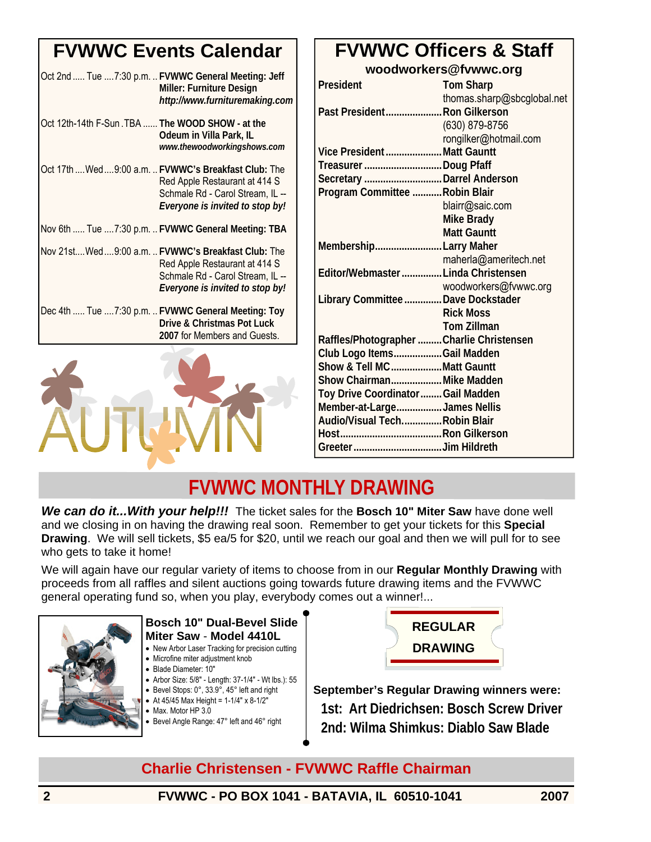### **FVWWC Events Calendar**

|                                                 | Oct 2nd  Tue  7:30 p.m.  FVWWC General Meeting: Jeff<br>Miller: Furniture Design<br>http://www.furnituremaking.com                                            |
|-------------------------------------------------|---------------------------------------------------------------------------------------------------------------------------------------------------------------|
| Oct 12th-14th F-Sun.TBA  The WOOD SHOW - at the | Odeum in Villa Park, IL<br>www.thewoodworkingshows.com                                                                                                        |
|                                                 | Oct 17th  Wed  9:00 a.m.  FVWWC's Breakfast Club: The<br>Red Apple Restaurant at 414 S<br>Schmale Rd - Carol Stream, IL --<br>Everyone is invited to stop by! |
|                                                 | Nov 6th  Tue 7:30 p.m.  FVWWC General Meeting: TBA                                                                                                            |
|                                                 | Nov 21st Wed  9:00 a.m.  FVWWC's Breakfast Club: The<br>Red Apple Restaurant at 414 S<br>Schmale Rd - Carol Stream, IL --<br>Everyone is invited to stop by!  |
|                                                 | Dec 4th  Tue 7:30 p.m.  FVWWC General Meeting: Toy<br>Drive & Christmas Pot Luck<br>2007 for Members and Guests.                                              |



#### **FVWWC Officers & Staff woodworkers@fvwwc.org**

| President                                | <b>Tom Sharp</b>           |
|------------------------------------------|----------------------------|
|                                          | thomas.sharp@sbcglobal.net |
| Past President Ron Gilkerson             |                            |
|                                          | (630) 879-8756             |
|                                          | rongilker@hotmail.com      |
| Vice PresidentMatt Gauntt                |                            |
| Treasurer Doug Pfaff                     |                            |
| Secretary  Darrel Anderson               |                            |
| Program Committee  Robin Blair           |                            |
|                                          | blairr@saic.com            |
|                                          | Mike Brady                 |
|                                          | <b>Matt Gauntt</b>         |
| MembershipLarry Maher                    |                            |
|                                          | maherla@ameritech.net      |
| Editor/Webmaster  Linda Christensen      |                            |
|                                          | woodworkers@fvwwc.org      |
| Library Committee  Dave Dockstader       |                            |
|                                          | <b>Rick Moss</b>           |
|                                          | <b>Tom Zillman</b>         |
| Raffles/Photographer Charlie Christensen |                            |
| Club Logo ItemsGail Madden               |                            |
| Show & Tell MCMatt Gauntt                |                            |
| Show ChairmanMike Madden                 |                            |
| Toy Drive Coordinator  Gail Madden       |                            |
| Member-at-LargeJames Nellis              |                            |
| Audio/Visual TechRobin Blair             |                            |
|                                          |                            |
|                                          |                            |

### **FVWWC MONTHLY DRAWING**

*We can do it...With your help!!!* The ticket sales for the **Bosch 10" Miter Saw** have done well and we closing in on having the drawing real soon. Remember to get your tickets for this **Special Drawing**. We will sell tickets, \$5 ea/5 for \$20, until we reach our goal and then we will pull for to see who gets to take it home!

We will again have our regular variety of items to choose from in our **Regular Monthly Drawing** with proceeds from all raffles and silent auctions going towards future drawing items and the FVWWC general operating fund so, when you play, everybody comes out a winner!...



#### **Bosch 10" Dual-Bevel Slide Miter Saw** - **Model 4410L**

- New Arbor Laser Tracking for precision cutting
- Microfine miter adjustment knob
- Blade Diameter: 10″
- Arbor Size: 5/8″ Length: 37-1/4″ Wt lbs.): 55
- Bevel Stops: 0°, 33.9°, 45° left and right • At  $45/45$  Max Height =  $1-1/4$ " x  $8-1/2$ "
- Max. Motor HP 3.0
- Bevel Angle Range: 47° left and 46° right



**September's Regular Drawing winners were: 1st: Art Diedrichsen: Bosch Screw Driver 2nd: Wilma Shimkus: Diablo Saw Blade**

### **Charlie Christensen - FVWWC Raffle Chairman**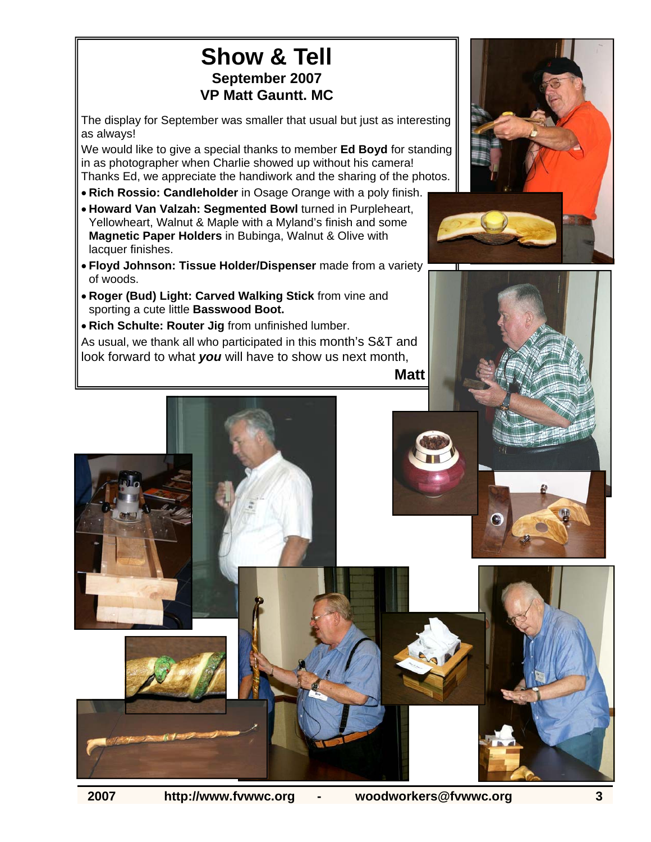### **Show & Tell September 2007 VP Matt Gauntt. MC**

The display for September was smaller that usual but just as interesting as always!

We would like to give a special thanks to member **Ed Boyd** for standing in as photographer when Charlie showed up without his camera! Thanks Ed, we appreciate the handiwork and the sharing of the photos.

- **Rich Rossio: Candleholder** in Osage Orange with a poly finish.
- **Howard Van Valzah: Segmented Bowl** turned in Purpleheart, Yellowheart, Walnut & Maple with a Myland's finish and some **Magnetic Paper Holders** in Bubinga, Walnut & Olive with lacquer finishes.
- **Floyd Johnson: Tissue Holder/Dispenser** made from a variety of woods.
- **Roger (Bud) Light: Carved Walking Stick** from vine and sporting a cute little **Basswood Boot.**
- **Rich Schulte: Router Jig** from unfinished lumber.

As usual, we thank all who participated in this month's S&T and look forward to what *you* will have to show us next month,